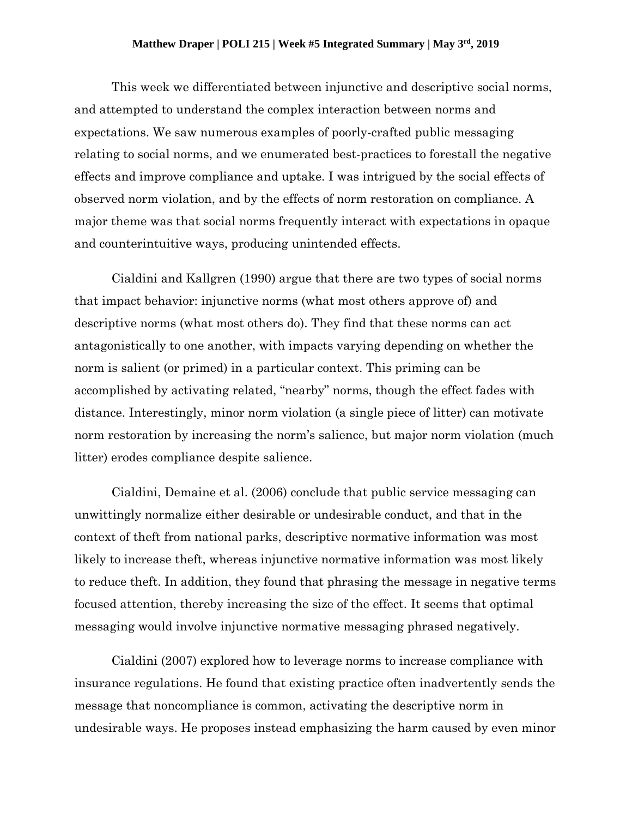## **Matthew Draper | POLI 215 | Week #5 Integrated Summary | May 3 rd, 2019**

This week we differentiated between injunctive and descriptive social norms, and attempted to understand the complex interaction between norms and expectations. We saw numerous examples of poorly-crafted public messaging relating to social norms, and we enumerated best-practices to forestall the negative effects and improve compliance and uptake. I was intrigued by the social effects of observed norm violation, and by the effects of norm restoration on compliance. A major theme was that social norms frequently interact with expectations in opaque and counterintuitive ways, producing unintended effects.

Cialdini and Kallgren (1990) argue that there are two types of social norms that impact behavior: injunctive norms (what most others approve of) and descriptive norms (what most others do). They find that these norms can act antagonistically to one another, with impacts varying depending on whether the norm is salient (or primed) in a particular context. This priming can be accomplished by activating related, "nearby" norms, though the effect fades with distance. Interestingly, minor norm violation (a single piece of litter) can motivate norm restoration by increasing the norm's salience, but major norm violation (much litter) erodes compliance despite salience.

Cialdini, Demaine et al. (2006) conclude that public service messaging can unwittingly normalize either desirable or undesirable conduct, and that in the context of theft from national parks, descriptive normative information was most likely to increase theft, whereas injunctive normative information was most likely to reduce theft. In addition, they found that phrasing the message in negative terms focused attention, thereby increasing the size of the effect. It seems that optimal messaging would involve injunctive normative messaging phrased negatively.

Cialdini (2007) explored how to leverage norms to increase compliance with insurance regulations. He found that existing practice often inadvertently sends the message that noncompliance is common, activating the descriptive norm in undesirable ways. He proposes instead emphasizing the harm caused by even minor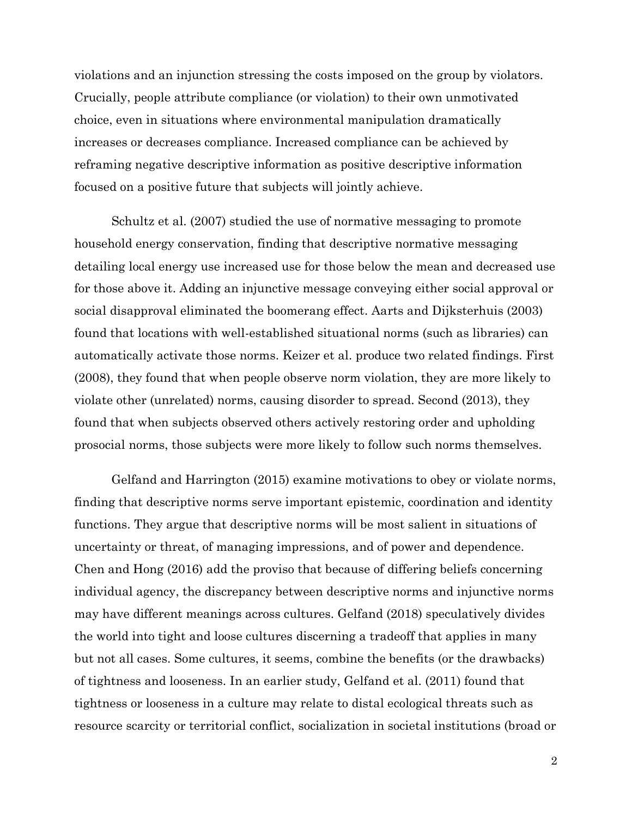violations and an injunction stressing the costs imposed on the group by violators. Crucially, people attribute compliance (or violation) to their own unmotivated choice, even in situations where environmental manipulation dramatically increases or decreases compliance. Increased compliance can be achieved by reframing negative descriptive information as positive descriptive information focused on a positive future that subjects will jointly achieve.

Schultz et al. (2007) studied the use of normative messaging to promote household energy conservation, finding that descriptive normative messaging detailing local energy use increased use for those below the mean and decreased use for those above it. Adding an injunctive message conveying either social approval or social disapproval eliminated the boomerang effect. Aarts and Dijksterhuis (2003) found that locations with well-established situational norms (such as libraries) can automatically activate those norms. Keizer et al. produce two related findings. First (2008), they found that when people observe norm violation, they are more likely to violate other (unrelated) norms, causing disorder to spread. Second (2013), they found that when subjects observed others actively restoring order and upholding prosocial norms, those subjects were more likely to follow such norms themselves.

Gelfand and Harrington (2015) examine motivations to obey or violate norms, finding that descriptive norms serve important epistemic, coordination and identity functions. They argue that descriptive norms will be most salient in situations of uncertainty or threat, of managing impressions, and of power and dependence. Chen and Hong (2016) add the proviso that because of differing beliefs concerning individual agency, the discrepancy between descriptive norms and injunctive norms may have different meanings across cultures. Gelfand (2018) speculatively divides the world into tight and loose cultures discerning a tradeoff that applies in many but not all cases. Some cultures, it seems, combine the benefits (or the drawbacks) of tightness and looseness. In an earlier study, Gelfand et al. (2011) found that tightness or looseness in a culture may relate to distal ecological threats such as resource scarcity or territorial conflict, socialization in societal institutions (broad or